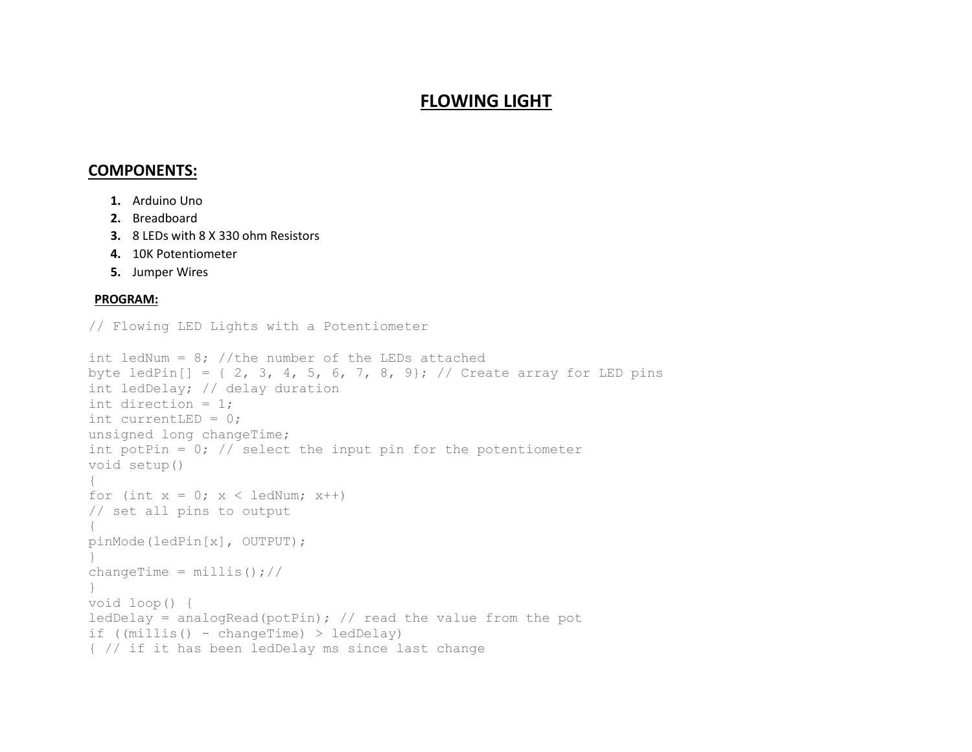## **FLOWING LIGHT**

## **COMPONENTS:**

- **1.** Arduino Uno
- **2.** Breadboard
- **3.** 8 LEDs with 8 X 330 ohm Resistors
- **4.** 10K Potentiometer
- **5.** Jumper Wires

## **PROGRAM:**

```
// Flowing LED Lights with a Potentiometer
```

```
int ledNum = 8; //the number of the LEDs attached
byte ledPin[] = { 2, 3, 4, 5, 6, 7, 8, 9}; // Create array for LED pins
int ledDelay; // delay duration
int direction = 1;
int currentLED = 0;
unsigned long changeTime;
int potPin = 0; // select the input pin for the potentiometer
void setup()
{
for (int x = 0; x < ledNum; x++)
// set all pins to output
{
pinMode(ledPin[x], OUTPUT);
}
changeTime = millis(); //
}
void loop() {
ledDelay = analogRead(potPin); // read the value from the pot
if ((mills() - changeTime) > ledDelay){ // if it has been ledDelay ms since last change
```